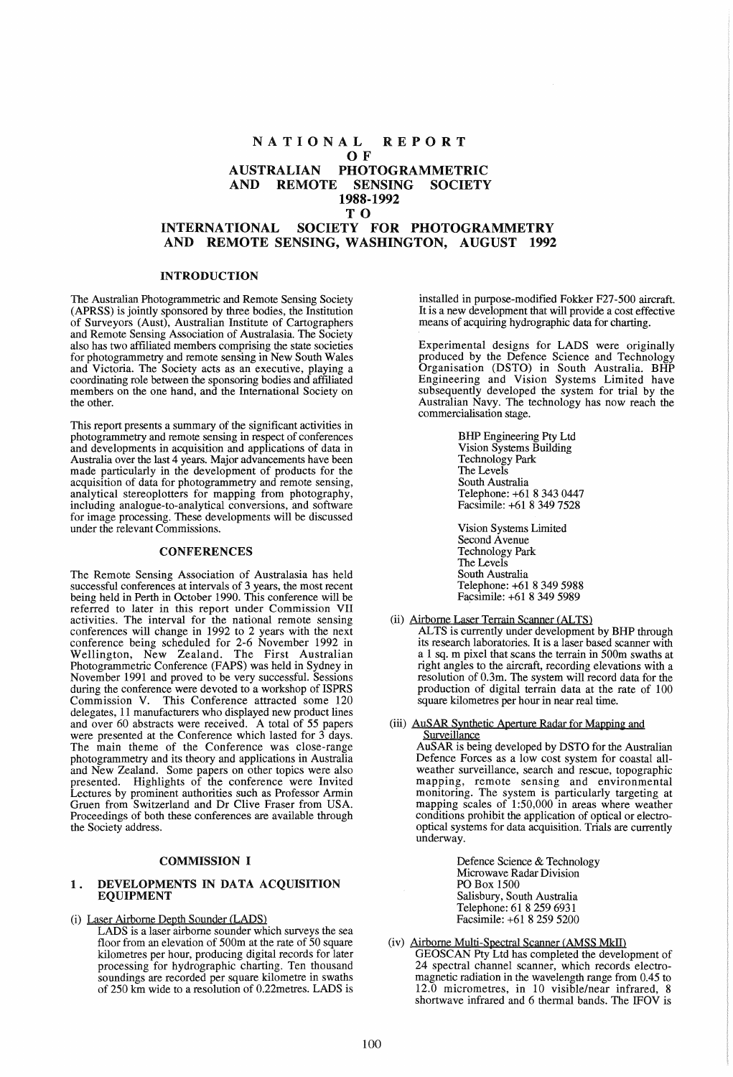# NATIONAL REPORT OF<sub>R</sub> AUSTRALIAN PHOTOGRAMMETRIC AND REMOTE SENSING SOCIETY 1988-1992 TO

# INTERNATIONAL SOCIETY FOR PHOTOGRAMMETRY AND REMOTE SENSING, WASHINGTON, AUGUST 1992

## INTRODUCTION

The Australian Photogrammetric and Remote Sensing Society (APRSS) is jointly sponsored by three bodies, the Institution of Surveyors (Aust), Australian Institute of Cartographers and Remote Sensing Association of Australasia. The Society also has two affiliated members comprising the state societies for photogrammetry and remote sensing in New South Wales and Victoria. The Society acts as an executive, playing a coordinating role between the sponsoring bodies and affiliated members on the one hand, and the International Society on the other.

This report presents a summary of the significant activities in photogrammetry and remote sensing in respect of conferences and developments in acquisition and applications of data in Australia over the last 4 years. Major advancements have been made particularly in the development of products for the acquisition of data for photogrammetry and remote sensing, analytical stereoplotters for mapping from photography, including analogue-to-analytical conversions, and software for image processing. These developments will be discussed under the relevant Commissions.

### **CONFERENCES**

The Remote Sensing Association of Australasia has held successful conferences at intervals of 3 years, the most recent successful conferences at intervals of 3 years, the most recent being held in Perth in October 1990. This conference will be referred to later in this report under Commission VII activities. The interval for the national remote sensing conferences will change in 1992 to 2 years with the next conference being scheduled for 2-6 November 1992 in Wellington, New Zealand. The First Australian Photogrammetric Conference (FAPS) was held in Sydney in November 1991 and proved to be very successful. Sessions during the conference were devoted to a workshop of ISPRS Commission V. This Conference attracted some 120 delegates, 11 manufacturers who displayed new product lines and over 60 abstracts were received. A total of 55 papers were presented at the Conference which lasted for 3 days. The main theme of the Conference was close-range photogrammetry and its theory and applications in Australia and New Zealand. Some papers on other topics were also presented. Highlights of the conference were Invited Lectures by prominent authorities such as Professor Armin Gruen from Switzerland and Dr Clive Fraser from USA. Proceedings of both these conferences are available through the Society address.

## COMMISSION I

## 1. DEVELOPMENTS IN DATA ACQUISITION EQUIPMENT

#### (i) Laser Airborne Depth Sounder (LADS)

LADS is a laser airborne sounder which surveys the sea floor from an elevation of 500m at the rate of 50 square kilometres per hour, producing digital records for later processing for hydrographic charting. Ten thousand soundings are recorded per square kilometre in swaths of 250 km wide to a resolution of 0.22metres. LADS is

installed in purpose-modified Fokker F27-500 aircraft. It is a new development that will provide a cost effective means of acquiring hydrographic data for charting.

Experimental designs for LADS were originally produced by the Defence Science and Technology Organisation (DSTO) in South Australia. BHP Engineering and Vision Systems Limited have subsequently developed the system for trial by the Australian Navy. The technology has now reach the commercialisation stage.

> BHP Engineering Pty Ltd Vision Systems Building Technology Park The Levels South Australia Telephone: +61 8 343 0447 Facsimile: +61 8 349 7528

Vision Systems Limited Second Avenue Technology Park The Levels South Australia Telephone: +61 8 349 5988 Facsimile: +61 8 349 5989

- (ii) Airborne Laser Terrain Scanner (ALTS)
	- ALTS is currently under development by BHP through its research laboratories. It is a laser based scanner with a 1 sq. m pixel that scans the terrain in 500m swaths at right angles to the aircraft, recording elevations with a resolution of 0.3m. The system will record data for the production of digital terrain data at the rate of 100 square kilometres per hour in near real time.

#### (iii) AuSAR Synthetic Aperture Radar for Mapping and **Surveillance**

AuSAR is being developed by DSTO for the Australian Defence Forces as a low cost system for coastal allweather surveillance, search and rescue, topographic mapping, remote sensing and environmental monitoring. The system is particularly targeting at mapping scales of 1:50,000 in areas where weather conditions prohibit the application of optical or electrooptical systems for data acquisition. Trials are currently underway.

> Defence Science & Technology Microwave Radar Division PO Box 1500 Salisbury, South Australia Telephone: 61 82596931 Facsimile: +61 8 259 5200

#### (iv) Airborne Multi-Spectral Scanner (AMSS MkII)

GEOSCAN Pty Ltd has completed the development of 24 spectral channel scanner, which records electromagnetic radiation in the wavelength range from 0.45 to 12.0 micrometres, in 10 visible/near infrared, 8 shortwave infrared and 6 thermal bands. The IFOV is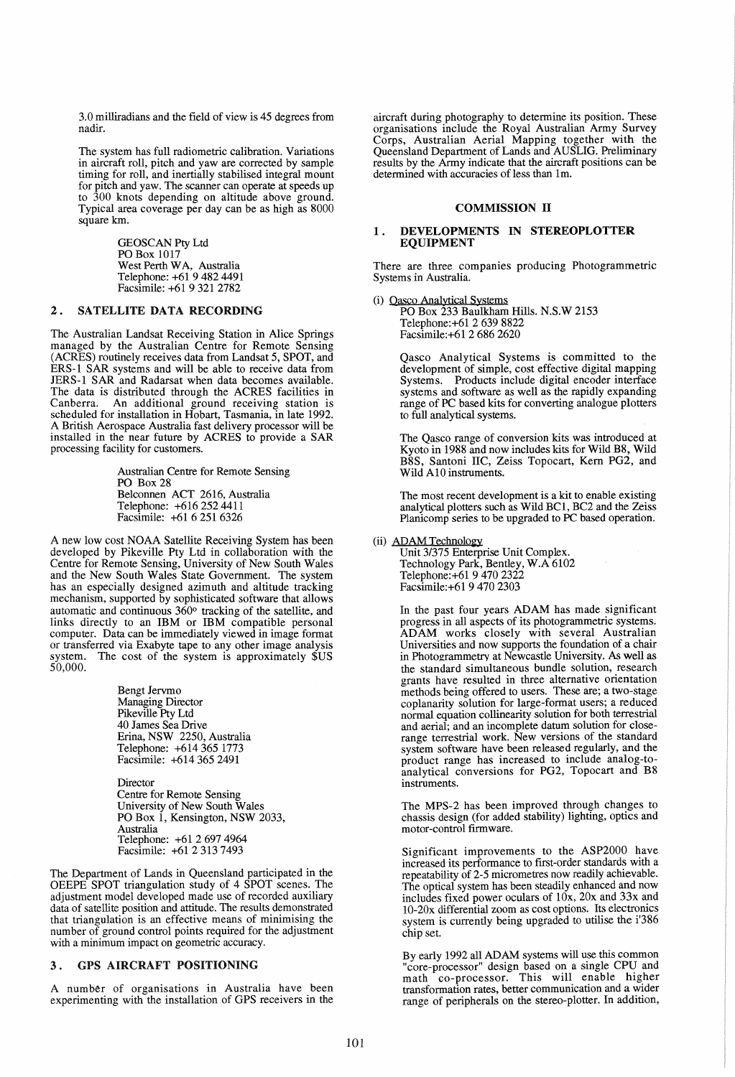3.0 milliradians and the field of view is 45 degrees from nadir.

The system has full radiometric calibration. Variations in aircraft roll, pitch and yaw are corrected by sample timing for roll, and inertially stabilised integral mount for pitch and yaw. The scanner can operate at speeds up to 300 knots depending on altitude above ground. Typical area coverage per day can be as high as 8000 square km.

> GEOSCAN Pty Ltd PO Box 1017 West Perth WA, Australia Telephone: +61 94824491 Facsimile: +61 9 321 2782

# 2. SATELLITE DATA RECORDING

The Australian Landsat Receiving Station in Alice Springs managed by the Australian Centre for Remote Sensing (ACRES) routinely receives data from Landsat 5, SPOT, and ERS-l SAR systems and will be able to receive data from JERS-l SAR and Radarsat when data becomes available. The data is distributed through the ACRES facilities in Canberra. An additional ground receiving station is scheduled for installation in Hobart, Tasmania, in late 1992. A British Aerospace Australia fast delivery processor will be installed in the near future by ACRES to provide a SAR processing facility for customers.

> Australian Centre for Remote Sensing PO Box 28 Belconnen ACT 2616, Australia Telephone: +6162524411 Facsimile: +61 6 251 6326

A new low cost NOAA Satellite Receiving System has been developed by Pikeville Pty Ltd in collaboration with the Centre for Remote Sensing, University of New South Wales and the New South Wales State Government. The system has an especially designed azimuth and altitude tracking mechanism, supported by sophisticated software that allows automatic and continuous 360° tracking of the satellite, and links directly to an IBM or IBM compatible personal computer. Data can be immediately viewed in image format or transferred via Exabyte tape to any other image analysis or transferred via Exabyte tape to any other image analysis system. The cost of the system is approximately \$US system.<br>50,000.

> Bengt Jervrno Managing Director Pikeville Pty Ltd 40 James Sea Drive Erina, NSW 2250, Australia Telephone: +614365 1773 Facsimile: +6143652491

**Director** Centre for Remote Sensing University of New South Wales PO Box 1, Kensington, NSW 2033, Australia Telephone: +61 2 697 4964 Facsimile: +61 23137493

The Department of Lands in Queensland participated in the OEEPE SPOT triangulation study of 4 SPOT scenes. The adjustment model developed made use of recorded auxiliary data of satellite position and attitude. The results demonstrated that triangulation is an effective means of minimising the number of ground control points required for the adjustment with a minimum impact on geometric accuracy.

## 3 . GPS AIRCRAFT POSITIONING

A number of organisations in Australia have been experimenting with the installation of GPS receivers in the

aircraft during photography to determine its position. These organisations include the Royal Australian Army Survey Corps, Australian Aerial Mapping together with the Queensland Department of Lands and AUSLIG. Preliminary results by the Army indicate that the aircraft positions can be determined with accuracies of less than 1m.

## COMMISSION II

### 1. DEVELOPMENTS IN STEREOPLOTTER EQUIPMENT

There are three companies producing Photogrammetric Systems in Australia.

(i) Oasco Analytical Systems

PO Box 233 Baulkham Hills. N.S.W 2153 Telephone:+61 2 639 8822 Facsimile:+61 2 686 2620

Qasco Analytical Systems is committed to the development of simple, cost effective digital mapping Systems. Products include digital encoder interface systems and software as well as the rapidly expanding range of PC based kits for converting analogue plotters to full analytical systems.

The Qasco range of conversion kits was introduced at Kyoto in 1988 and now includes kits for Wild B8, Wild B8S, Santoni IIC, Zeiss Topocart, Kern PG2, and Wild AlO instruments.

The most recent development is a kit to enable existing analytical plotters such as Wild BCl, BC2 and the Zeiss Planicomp series to be upgraded to PC based operation.

#### (ii) ADAM Technology

Unit 3/375 Enterprise Unit Complex. Technology Park, Bentley, W.A 6102 Telephone: +61 9 470 2322 Facsimile:+6l 94702303

In the past four years ADAM has made significant progress in all aspects of its photogrammetric systems. ADAM works closely with several Australian Universities and now supports the foundation of a chair in Photogrammetry at Newcastle University. As well as the standard simultaneous bundle solution, research grants have resulted in three alternative orientation methods being offered to users. These are; a two-stage coplanarity solution for large-format users; a reduced normal equation collinearity solution for both terrestrial and aerial; and an incomplete datum solution for closerange terrestrial work. New versions of the standard system software have been released regularly, and the product range has increased to include analog-toanalytical conversions for PG2, Topocart and B8 instruments.

The MPS-2 has been improved through changes to chassis design (for added stability) lighting, optics and motor-control firmware.

Significant improvements to the ASP2000 have increased its performance to first-order standards With a repeatability of 2-5 micrometres now readily achievable. The optical system has been steadily enhanced and now includes fixed power oculars of lOx, 20x and 33x and 10-20x differential zoom as cost options. Its electronics system is currently being upgraded to utilise the i'386 chip set.

By early 1992 all ADAM systems will use this common "core-processor" design based on a single CPU and math co-processor. This will enable higher transformation rates, better communication and a wider range of peripherals on the stereo-plotter. In addition,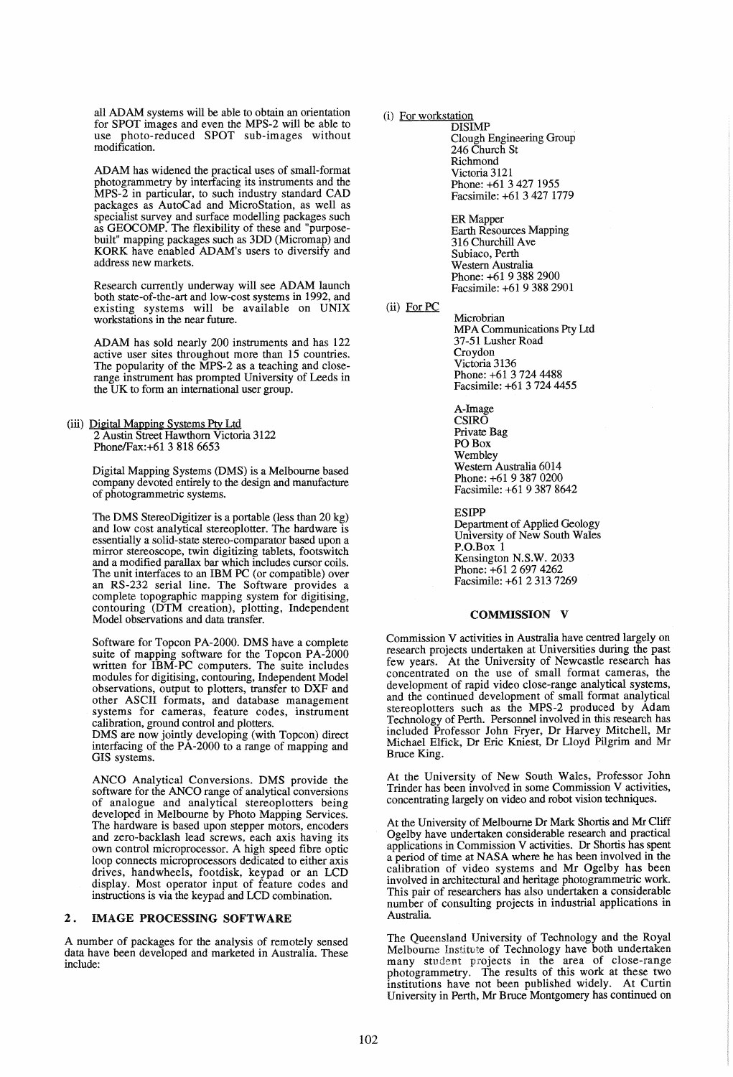all ADAM systems will be able to obtain an orientation for SPOT images and even the MPS-2 will be able to use photo-reduced SPOT sub-images without modification.

ADAM has widened the practical uses of small-format photogrammetry by interfacing its instruments and the MPS-2 in particular, to such industry standard CAD packages as AutoCad and MicroStation, as well as specialist survey and surface modelling packages such as GEOCOMP. The flexibility of these and "purposebuilt" mapping packages such as 3DD (Micromap) and KORK have enabled ADAM's users to diversify and address new markets.

Research currently underway will see ADAM launch both state-of-the-art and low-cost systems in 1992, and existing systems will be available on UNIX workstations in the near future.

ADAM has sold nearly 200 instruments and has 122 active user sites throughout more than 15 countries. The popularity of the MPS-2 as a teaching and closerange instrument has prompted University of Leeds in the UK to form an international user group.

(iii) Digital Mapping Systems Pty Ltd 2 Austin Street Hawthorn Victoria 3122 PhonelFax:+61 3 818 6653

> Digital Mapping Systems (DMS) is a Melbourne based company devoted entirely to the design and manufacture of photogrammetric systems.

> The DMS StereoDigitizer is a portable (less than 20 kg) and low cost analytical stereoplotter. The hardware is essentially a solid-state stereo-comparator based upon a mirror stereoscope, twin digitizing tablets, footswitch and a modified parallax bar which includes cursor coils. The unit interfaces to an IBM PC (or compatible) over an RS-232 serial line. The Software provides a complete topographic mapping system for digitising, contouring (DTM creation), plotting, Independent Model observations and data transfer.

> Software for Topcon PA-2000. DMS have a complete suite of mapping software for the Topcon PA-2000 written for IBM-PC computers. The suite includes modules for digitising, contouring, Independent Model observations, output to plotters, transfer to DXF and other ASCII formats, and database management systems for cameras, feature codes, instrument calibration, ground control and plotters. '

> DMS are now jointly developing (with Topcon) direct interfacing of the PA-2000 to a range of mapping and GIS systems.

> ANCO Analytical Conversions. DMS provide the software for the ANCO range of analytical conversions of analogue and analytical stereoplotters being developed in Melbourne by Photo Mapping Services. The hardware is based upon stepper motors, encoders and zero-backlash lead screws, each axis having its own control microprocessor. A high speed fibre optic loop connects microprocessors dedicated to either axis drives, handwheels, footdisk, keypad or an LCD display. Most operator input of feature codes and instructions is via the keypad and LCD combination.

## 2. IMAGE PROCESSING SOFTWARE

A number of packages for the analysis of remotely sensed data have been developed and marketed in Australia. These mclude:

# (i) For workstation

**DISIMP** Clough Engineering Group 246 Church St Richmond Victoria 3121 Phone: +61 3 427 1955 Facsimile: +61 3427 1779

ER Mapper Earth Resources Mapping 316 Churchill Ave Subiaco, Perth Western Australia Phone: +61 9 388 2900 Facsimile: +61 93882901

(ii) For PC

**Microbrian** MPA Communications Pty Ltd 37-51 Lusher Road Croydon Victoria 3136 Phone: +61 3 724 4488 Facsimile: +6137244455

A-Image CSIRO Private Bag POBox Wembley Western Australia 6014 Phone: +61 9 387 0200 Facsimile: +61 93878642

ESIPP

Department of Applied Geology University of New South Wales P.O.Box 1 Kensington N.S.W. 2033 Phone: +61 2 697 4262 Facsimile: +61 23137269

## COMMISSION V

Commission V activities in Australia have centred largely on research projects undertaken at Universities during the past few years. At the University of Newcastle research has concentrated on the use of small format cameras, the development of rapid video close-range analytical systems, and the continued development of small format analytical stereoplotters such as the MPS-2 produced by Adam Technology of Perth. Personnel involved in this research has included Professor John Fryer, Dr Harvey Mitchell, Mr Michael Elfick, Dr Eric Kniest, Dr Lloyd Pilgrim and Mr Bruce King.

At the University of New South Wales, Professor John Trinder has been involved in some Commission V activities, concentrating largely on video and robot vision techniques.

At the University of Melbourne Dr Mark Shortis and Mr Cliff Ogelby have undertaken considerable research and practical applications in Commission V activities. Dr Shortis has spent a period of time at NASA where he has been involved in the calibration of video systems and Mr Ogelby has been involved in architectural and heritage photogrammetric work. This pair of researchers has also undertaken a considerable number of consulting projects in industrial applications in Australia.

The Queensland University of Technology and the Royal Melboume Institute of Technology have both undertaken many student projects in the area of close-range photogrammetry. The results of this work at these two institutions have not been published widely. At Curtin University in Perth, Mr Bruce Montgomery has continued on